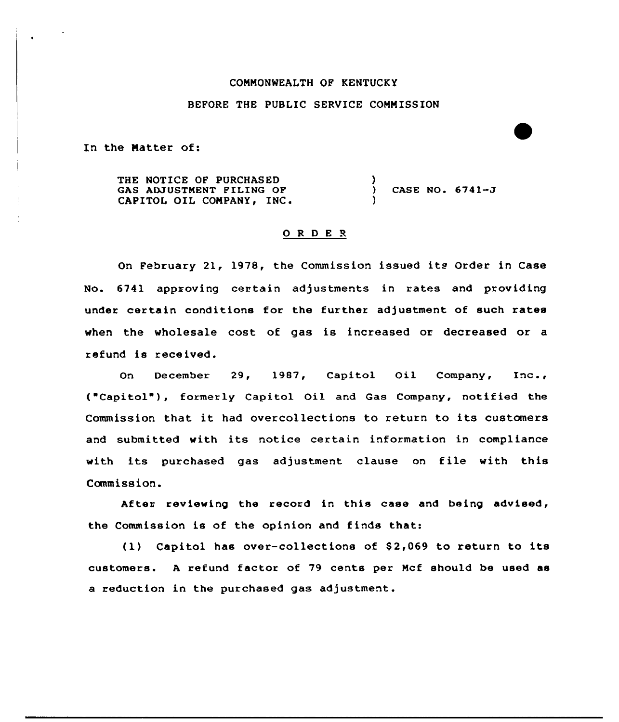## COMMONNEALTH OF KENTUCKY

## BEFORE THE PUBLIC SERVICE COMMISSION

In the Matter of:

THE NOTICE OF PURCHASED GAS ADJUSTMENT PILING OF CAPITOL OIL COMPANY, INC. ) CASE NO.  $6741 - J$ )

## 0 <sup>R</sup> <sup>D</sup> <sup>E</sup> <sup>R</sup>

On February 21, 1978, the Commission issued its Order in Case No. 6741 approving certain adjustments in rates and providing under certain conditions for the further adjustment of such rates when the wholesale cost of gas is increased or decreased or a refund is received.

On December 29, 1987, Capitol Oil Company, Inc., ("Capitol"), formerly Capitol Oil and Gas Company, notified the Commission that it had overcollections to return to its customers and submitted with its notice certain information in compliance with its purchased gas adjustment clause on file with this Commission.

After reviewing the record in this case and being advised, the Commission is of the opinion and finds that:

 $(1)$  Capitol has over-collections of \$2,069 to return to its customers. <sup>A</sup> refund factor of 79 cents per Mcf should be used as a reduction in the purchased gas adjustment.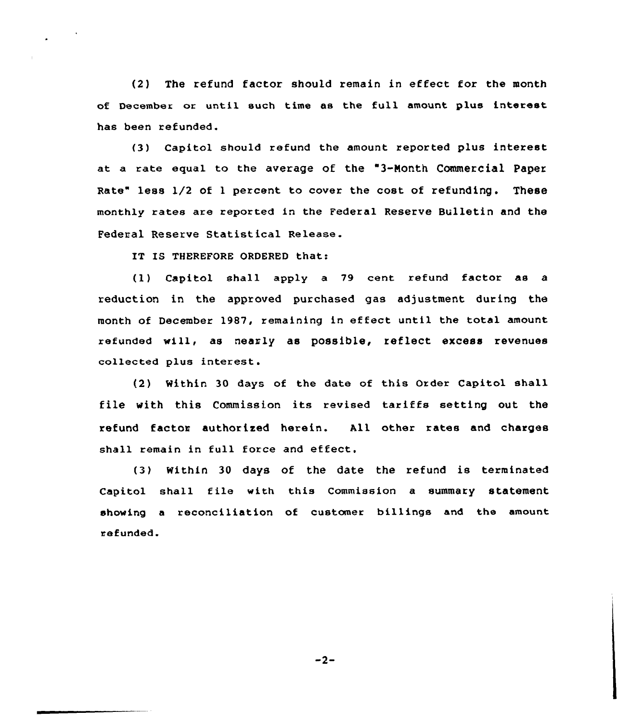(2} The refund factor should remain in effect for the month of December or until such time as the full amount plus interest has been refunded.

(3) Capitol should refund the amount reported plus interest at a rate equal to the average of the "3-Month Commercial Paper Rate" less 1/2 of 1 percent to cover the cost of refunding. These monthly rates are reported in the Federal Reserve Bulletin and the Federal Reserve Statistical Release.

IT IS THEREFORE ORDERED that:

(1) Capitol shall apply a 79 cent refund factor as a reduction in the approved purchased gas adjustment during the month of December 1987, remaining in effect until the total amount refunded will, as nearly as possible, reflect excess revenues collected plus interest.

(2) Within 30 days of the date of this Order Capitol shall file with this Commission its revised tariffs setting out the refund factor authorised herein. All other rates and charges shall remain in full force and effect.

(3) Within 30 days of the date the refund is terminated Capitol shall file with this Commission a summary statement showing a reconciliation of customer billings and the amount refunded.

 $-2-$